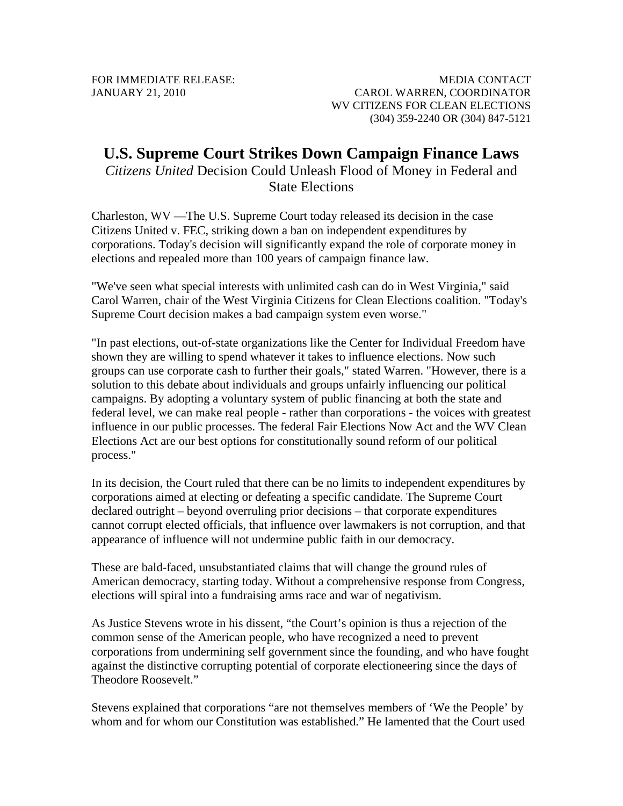FOR IMMEDIATE RELEASE: JANUARY 21, 2010

MEDIA CONTACT CAROL WARREN, COORDINATOR WV CITIZENS FOR CLEAN ELECTIONS (304) 359-2240 OR (304) 847-5121

## **U.S. Supreme Court Strikes Down Campaign Finance Laws**

*Citizens United* Decision Could Unleash Flood of Money in Federal and State Elections

Charleston, WV —The U.S. Supreme Court today released its decision in the case Citizens United v. FEC, striking down a ban on independent expenditures by corporations. Today's decision will significantly expand the role of corporate money in elections and repealed more than 100 years of campaign finance law.

"We've seen what special interests with unlimited cash can do in West Virginia," said Carol Warren, chair of the West Virginia Citizens for Clean Elections coalition. "Today's Supreme Court decision makes a bad campaign system even worse."

"In past elections, out-of-state organizations like the Center for Individual Freedom have shown they are willing to spend whatever it takes to influence elections. Now such groups can use corporate cash to further their goals," stated Warren. "However, there is a solution to this debate about individuals and groups unfairly influencing our political campaigns. By adopting a voluntary system of public financing at both the state and federal level, we can make real people - rather than corporations - the voices with greatest influence in our public processes. The federal Fair Elections Now Act and the WV Clean Elections Act are our best options for constitutionally sound reform of our political process."

In its decision, the Court ruled that there can be no limits to independent expenditures by corporations aimed at electing or defeating a specific candidate. The Supreme Court declared outright – beyond overruling prior decisions – that corporate expenditures cannot corrupt elected officials, that influence over lawmakers is not corruption, and that appearance of influence will not undermine public faith in our democracy.

These are bald-faced, unsubstantiated claims that will change the ground rules of American democracy, starting today. Without a comprehensive response from Congress, elections will spiral into a fundraising arms race and war of negativism.

As Justice Stevens wrote in his dissent, "the Court's opinion is thus a rejection of the common sense of the American people, who have recognized a need to prevent corporations from undermining self government since the founding, and who have fought against the distinctive corrupting potential of corporate electioneering since the days of Theodore Roosevelt."

Stevens explained that corporations "are not themselves members of 'We the People' by whom and for whom our Constitution was established." He lamented that the Court used